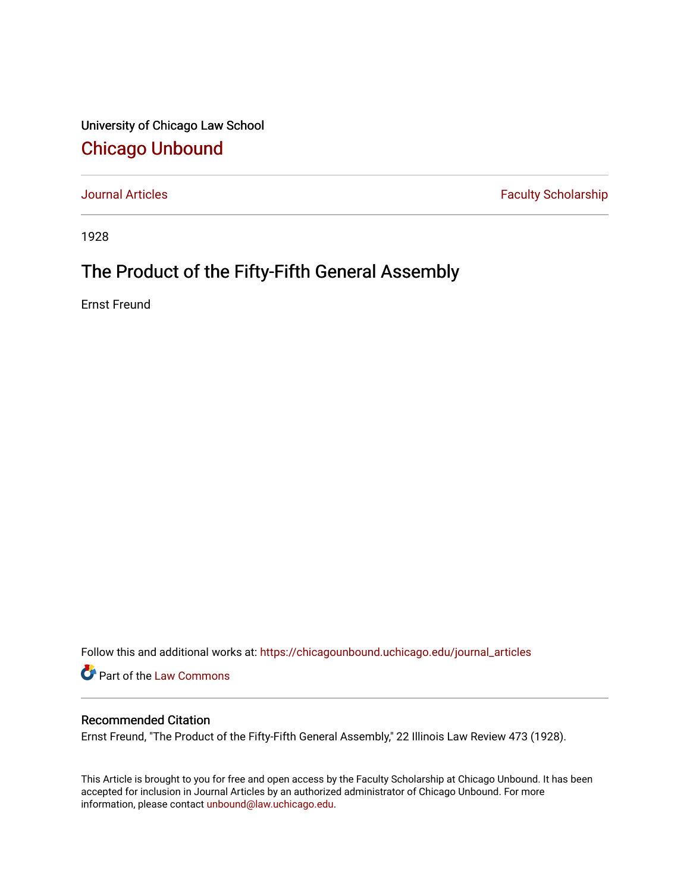University of Chicago Law School [Chicago Unbound](https://chicagounbound.uchicago.edu/)

[Journal Articles](https://chicagounbound.uchicago.edu/journal_articles) **Faculty Scholarship Faculty Scholarship** 

1928

## The Product of the Fifty-Fifth General Assembly

Ernst Freund

Follow this and additional works at: [https://chicagounbound.uchicago.edu/journal\\_articles](https://chicagounbound.uchicago.edu/journal_articles?utm_source=chicagounbound.uchicago.edu%2Fjournal_articles%2F7848&utm_medium=PDF&utm_campaign=PDFCoverPages) 

Part of the [Law Commons](http://network.bepress.com/hgg/discipline/578?utm_source=chicagounbound.uchicago.edu%2Fjournal_articles%2F7848&utm_medium=PDF&utm_campaign=PDFCoverPages)

### Recommended Citation

Ernst Freund, "The Product of the Fifty-Fifth General Assembly," 22 Illinois Law Review 473 (1928).

This Article is brought to you for free and open access by the Faculty Scholarship at Chicago Unbound. It has been accepted for inclusion in Journal Articles by an authorized administrator of Chicago Unbound. For more information, please contact [unbound@law.uchicago.edu](mailto:unbound@law.uchicago.edu).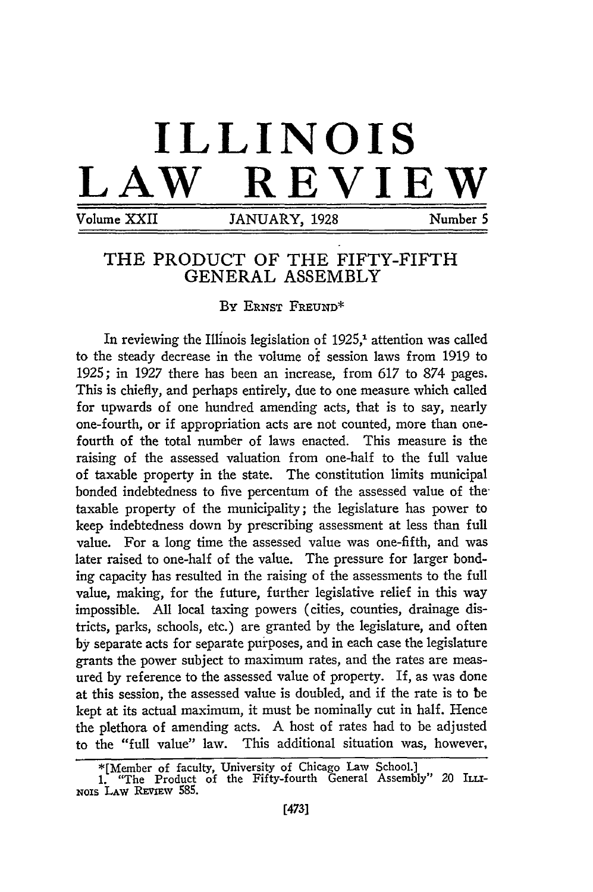# **ILLINOIS REVIEW**

Volume XXII JANUARY, 1928 Number 5

### THE PRODUCT OF THE FIFTY-FIFTH **GENERAL** ASSEMBLY

**By ERNST FREUND\***

In reviewing the Illinois legislation of  $1925<sup>1</sup>$  attention was called to the steady decrease in the volume **of** session laws from 1919 to **1925;** in **1927** there has been an increase, from **617** to **874** pages. This is chiefly, and perhaps entirely, due to one measure which called for upwards of one hundred amending acts, that is to say, nearly one-fourth, or if appropriation acts are not counted, more than onefourth of the total number of laws enacted. This measure is the raising of the assessed valuation from one-half to the full value of taxable property in the state. The constitution limits municipal bonded indebtedness to five percentum of the assessed value of thetaxable property of the municipality; the legislature has power to keep indebtedness down **by** prescribing assessment at less than full value. For a long time the assessed value was one-fifth, and was later raised to one-half of the value. The pressure for larger bonding capacity has resulted in the raising of the assessments to the full value, making, for the future, further legislative relief in this way impossible. **All** local taxing powers (cities, counties, drainage districts, parks, schools, etc.) are granted by the legislature, and often **by** separate acts for separate purposes, and in each case the legislature grants the power subject to maximum rates, and the rates are measured by reference to the assessed value of property. If, as was done at this session, the assessed value is doubled, and if the rate is to be kept at its actual maximum, it must be nominally cut in half. Hence the plethora of amending acts. **A** host of rates had to be adjusted to the "full value" law. This additional situation was, however,

<sup>\*[</sup>Member of faculty, University of Chicago Law School.]

**<sup>1.</sup>** "The Product of the Fifty-fourth General Assembly" 20 **ILLi-**NOIS **LAW REvimv 585.**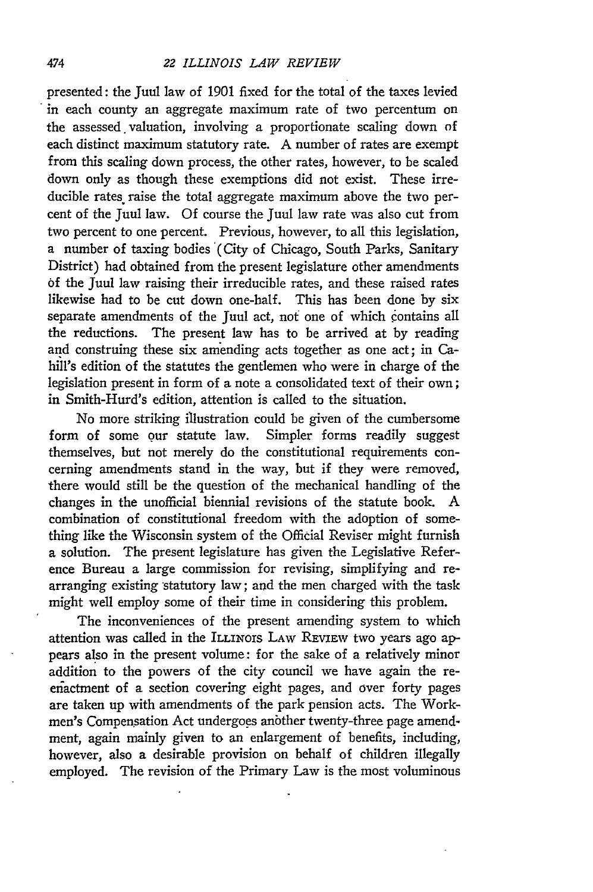#### *22 ILLINOIS LAW REVIEW*

presented: the Juul law of 1901 fixed for the total of the taxes levied in each county an aggregate maximum rate of two percentum on the assessed valuation, involving a proportionate scaling down of each distinct maximum statutory rate. A number of rates are exempt from this scaling down process, the other rates, however, to be scaled down only as though these exemptions did not exist. These irreducible rates raise the total aggregate maximum above the two percent of the Juul law. Of course the Juul law rate was also cut from two percent to one percent. Previous, however, to all this legislation, a number of taxing bodies (City of Chicago, South Parks, Sanitary District) had obtained from the present legislature other amendments of the Juul law raising their irreducible rates, and these raised rates likewise had to be cut down one-half. This has been done by six separate amendments of the Juul act, not one of which contains all the reductions. The present law has to be arrived at by reading and construing these six amending acts together as one act; in Cahill's edition of the statutes the gentlemen who were in charge of the legislation present in form of a note a consolidated text of their own; in Smith-Hurd's edition, attention is called to the situation.

No more striking illustration could be given of the cumbersome form of some our statute law. Simpler forms readily suggest themselves, but not merely do the constitutional requirements concerning amendments stand in the way, but if they were removed, there would still be the question of the mechanical handling of the changes in the unofficial biennial revisions of the statute book. A combination of constitutional freedom with the adoption of something like the Wisconsin system of the Official Reviser might furnish a solution. The present legislature has given the Legislative Reference Bureau a large commission for revising, simplifying and rearranging existing statutory law; and the men charged with the task might well employ some of their time in considering this problem.

The inconveniences of the present amending system to which attention was called in the ILLINOIS LAW REVIEW two years ago appears also in the present volume: for the sake of a relatively minor addition to the powers of the city council we have again the reenactment of a section covering eight pages, and over forty pages are taken up with amendments of the park pension acts. The Workmen's Compensation Act undergoes anbther twenty-three page amendment, again mainly given to an enlargement of benefits, including, however, also a desirable provision on behalf of children illegally employed. The revision of the Primary Law is the most voluminous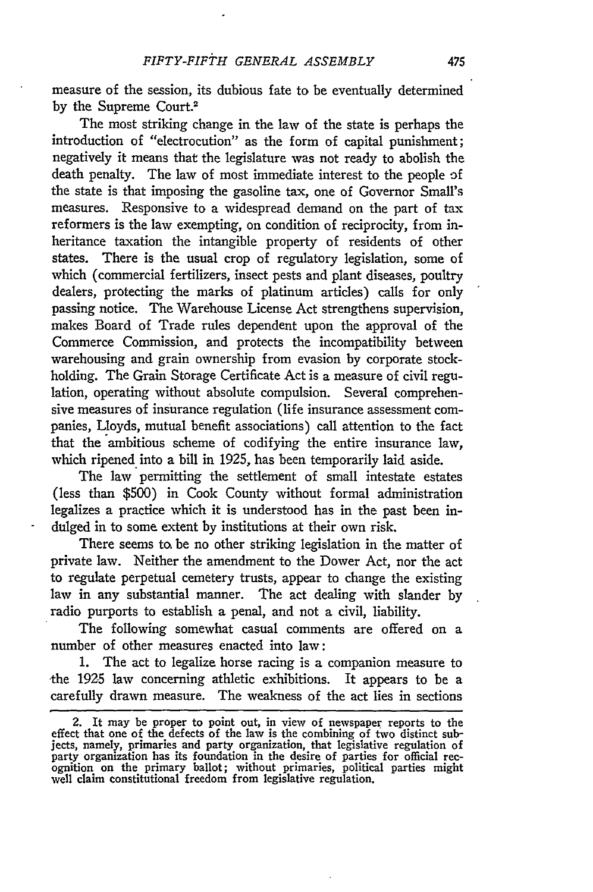measure of the session, its dubious fate to be eventually determined by the Supreme Court.2

The most striking change in the law of the state is perhaps the introduction of "electrocution" as the form of capital punishment; negatively it means that the legislature was not ready to abolish the death penalty. The law of most immediate interest to the people **3f** the state is that imposing the gasoline tax, one of Governor Small's measures. Responsive to a widespread demand on the part of tax reformers is the law exempting, on condition of reciprocity, from inheritance taxation the intangible property of residents of other states. There is the usual crop of regulatory legislation, some of which (commercial fertilizers, insect pests and plant diseases, poultry dealers, protecting the marks of platinum articles) calls for only passing notice. The Warehouse License Act strengthens supervision, makes Board of Trade rules dependent upon the approval of the Commerce Commission, and protects the incompatibility between warehousing and grain ownership from evasion by corporate stockholding. The Grain Storage Certificate Act is a measure of civil regulation, operating without absolute compulsion. Several comprehensive measures of insurance regulation (life insurance assessment companies, Lloyds, mutual benefit associations) call attention to the fact that the ambitious scheme of codifying the entire insurance law, which ripened into a bill in 1925, has been temporarily laid aside.

The law permitting the settlement of small intestate estates (less than \$500) in Cook County without formal administration legalizes a practice which it is understood has in the past been indulged in to some extent by institutions at their own risk.

There seems to be no other striking legislation in the matter of private law. Neither the amendment to the Dower Act, nor the act to regulate perpetual cemetery trusts, appear to change the existing law in any substantial manner. The act dealing with slander by radio purports to establish a penal, and not a civil, liability.

The following somewhat casual comments are offered on a number of other measures enacted into law:

1. The act to legalize horse racing is a companion measure to the 1925 law concerning athletic exhibitions. It appears to be a carefully drawn measure. The weakness of the act lies in sections

<sup>2.</sup> It may be proper to point out, in view of newspaper reports to the effect that one of the defects of the law is the combining of two distinct subjects, namely, primaries and party organization, that legislative regulation of party organization has its foundation in the desire of parties for official rec- ognition on the primary ballot; without primaries, political parties might well claim constitutional freedom from legislative regulation.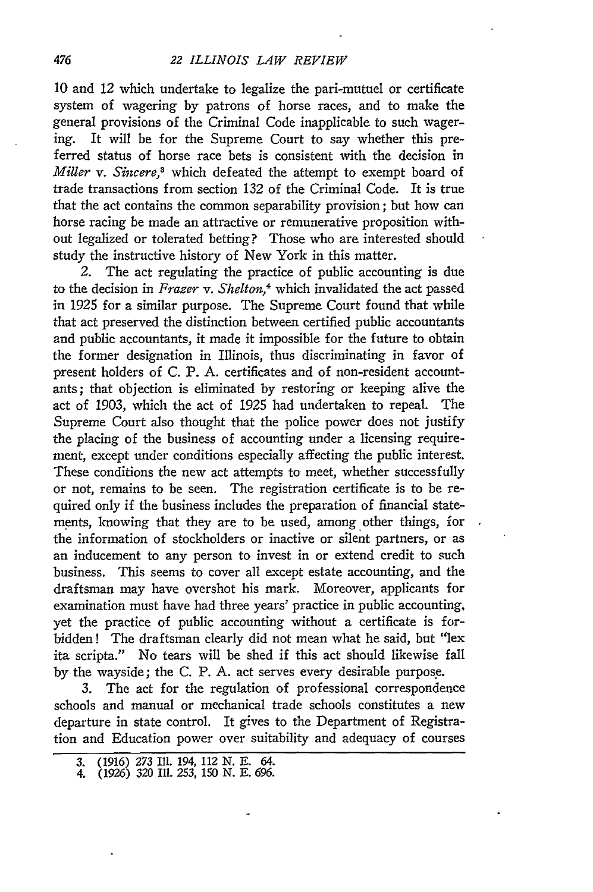10 and 12 which undertake to legalize the pari-mutuel or certificate system of wagering by patrons of horse races, and to make the general provisions of the Criminal Code inapplicable to such wagering. It will be for the Supreme Court to say whether this preferred status of horse race bets is consistent with the decision in *Miller v. Sincere,3* which defeated the attempt to exempt board of trade transactions from section 132 of the Criminal Code. It is true that the act contains the common separability provision; but how can horse racing be made an attractive or remunerative proposition without legalized or tolerated betting? Those who are interested should study the instructive history of New York in this matter.

2. The act regulating the practice of public accounting is due to the decision in *Frazer v. Shelton,4* which invalidated the act passed in 1925 for a similar purpose. The Supreme Court found that while that act preserved the distinction between certified public accountants and public accountants, it made it impossible for the future to obtain the former designation in Illinois, thus discriminating in favor of present holders of C. P. A. certificates and of non-resident accountants; that objection is eliminated by restoring or keeping alive the act of 1903, which the act of 1925 had undertaken to repeal. The Supreme Court also thought that the police power does not justify the placing of the business of accounting under a licensing requirement, except under conditions especially affecting the public interest. These conditions the new act attempts to meet, whether successfully or not, remains to be seen. The registration certificate is to be required only if the business includes the preparation of financial statements, knowing that they are to be used, among other things, for the information of stockholders or inactive or silent partners, or as an inducement to any person to invest in or extend credit to such business. This seems to cover all except estate accounting, and the draftsman may have overshot his mark. Moreover, applicants for examination must have had three years' practice in public accounting, yet the practice of public accounting without a certificate is forbidden! The draftsman clearly did not mean what he said, but "lex ita scripta." No tears will be shed if this act should likewise fall by the wayside; the C. P. A. act serves every desirable purpose.

3. The act for the regulation of professional correspondence schools and manual or mechanical trade schools constitutes a new departure in state control. It gives to the Department of Registration and Education power over suitability and adequacy of courses

<sup>3. (1916)</sup> *273* Ill. 194, 112 N. E. 64. 4. (1926) 320 Ill. 253, 150 **N. E.** *696.*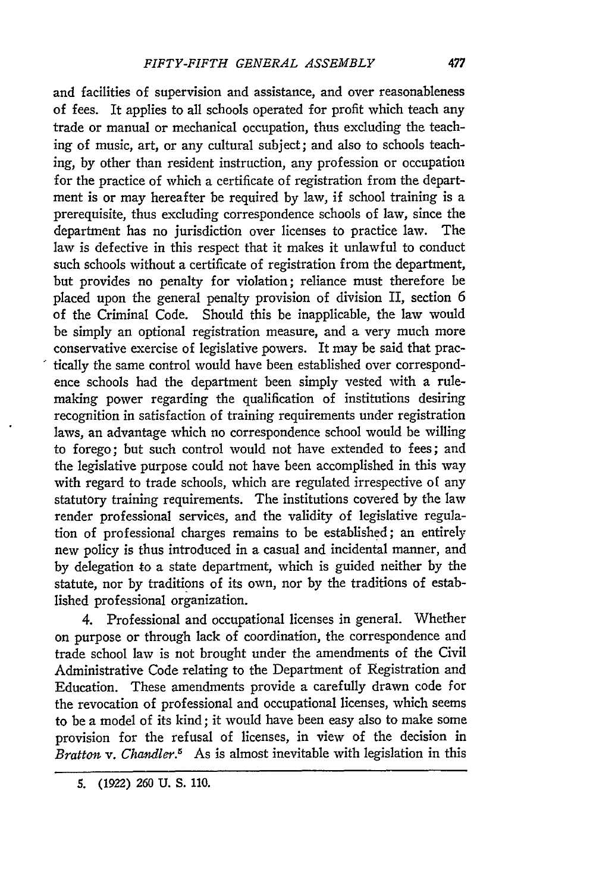and facilities of supervision and assistance, and over reasonableness of fees. It applies to all schools operated for profit which teach any trade or manual or mechanical occupation, thus excluding the teaching of music, art, or any cultural subject; and also to schools teaching, by other than resident instruction, any profession or occupation for the practice of which a certificate of registration from the department is or may hereafter be required by law, if school training is a prerequisite, thus excluding correspondence schools of law, since the department has no jurisdiction over licenses to practice law. The law is defective in this respect that it makes it unlawful to conduct such schools without a certificate of registration from the department, but provides no penalty for violation; reliance must therefore be placed upon the general penalty provision of division II, section 6 of the Criminal Code. Should this be inapplicable, the law would be simply an optional registration measure, and a very much more conservative exercise of legislative powers. It may be said that practically the same control would have been established over correspondence schools had the department been simply vested with a rulemaking power regarding the qualification of institutions desiring recognition in satisfaction of training requirements under registration laws, an advantage which no correspondence school would be willing to forego; but such control would not have extended to fees; and the legislative purpose could not have been accomplished in this way with regard to trade schools, which are regulated irrespective of any statutory training requirements. The institutions covered by the law render professional services, and the validity of legislative regulation of professional charges remains to be established; an entirely new policy is thus introduced in a casual and incidental manner, and by delegation to a state department, which is guided neither by the statute, nor by traditions of its own, nor by the traditions of established professional organization.

4. Professional and occupational licenses in general. Whether on purpose or through lack of coordination, the correspondence and trade school law is not brought under the amendments of the Civil Administrative Code relating to the Department of Registration and Education. These amendments provide a carefully drawn code for the revocation of professional and occupational licenses, which seems to be a model of its kind; it would have been easy also to make some provision for the refusal of licenses, in view of the decision in *Bratton v. Chandler.5* As is almost inevitable with legislation in this

**5. (1922) 260 U. S.** *110.*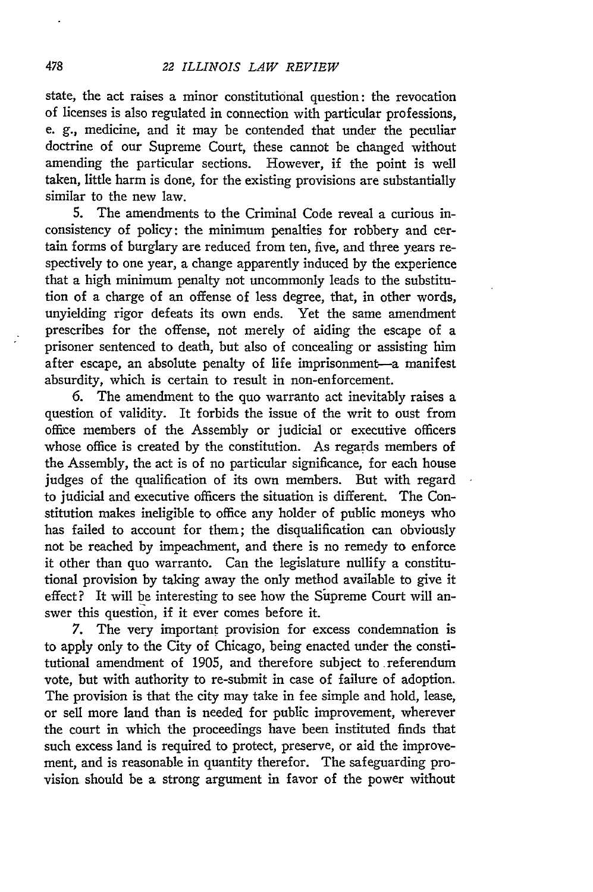state, the act raises a minor constitutional question: the revocation of licenses is also regulated in connection with particular professions, e. **g.,** medicine, and it may be contended that under the peculiar doctrine of our Supreme Court, these cannot be changed without amending the particular sections. However, if the point is well taken, little harm is done, for the existing provisions are substantially similar to the new law.

5. The amendments to the Criminal Code reveal a curious inconsistency of policy: the minimum penalties for robbery and certain forms of burglary are reduced from ten, five, and three years respectively to one year, a change apparently induced by the experience that a high minimum penalty not uncommonly leads to the substitution of a charge of an offense of less degree, that, in other words, unyielding rigor defeats its own ends. Yet the same amendment prescribes for the offense, not merely of aiding the escape of a prisoner sentenced to death, but also of concealing or assisting him after escape, an absolute penalty of life imprisonment-a manifest absurdity, which is certain to result in non-enforcement.

6. The amendment to the quo warranto act inevitably raises a question of validity. It forbids the issue of the writ to oust from office members of the Assembly or judicial or executive officers whose office is created by the constitution. As regards members of the Assembly, the act is of no particular significance, for each house judges of the qualification of its own members. But with regard to judicial and executive officers the situation is different. The Constitution makes ineligible to office any holder of public moneys who has failed to account for them; the disqualification can obviously not be reached by impeachment, and there is no remedy to enforce it other than quo warranto. Can the legislature nullify a constitutional provision by taking away the only method available to give it effect? It will be interesting to see how the Supreme Court will answer this question, if it ever comes before it.

7. The very important provision for excess condemnation is to apply only to the City of Chicago, being enacted under the constitutional amendment of 1905, and therefore subject to referendum vote, but with authority to re-submit in case of failure of adoption. The provision is that the city may take in fee simple and hold, lease, or sell more land than is needed for public improvement, wherever the court in which the proceedings have been instituted finds that such excess land is required to protect, preserve, or aid the improvement, and is reasonable in quantity therefor. The safeguarding provision should be a strong argument in favor of the power without